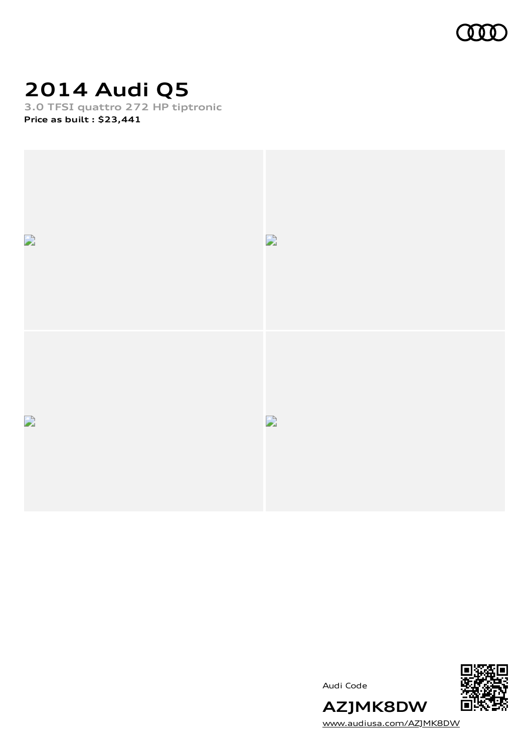

# **2014 Audi Q5**

**3.0 TFSI quattro 272 HP tiptronic Price as built [:](#page-10-0) \$23,441**







**AZJMK8DW** [www.audiusa.com/AZJMK8DW](https://www.audiusa.com/AZJMK8DW)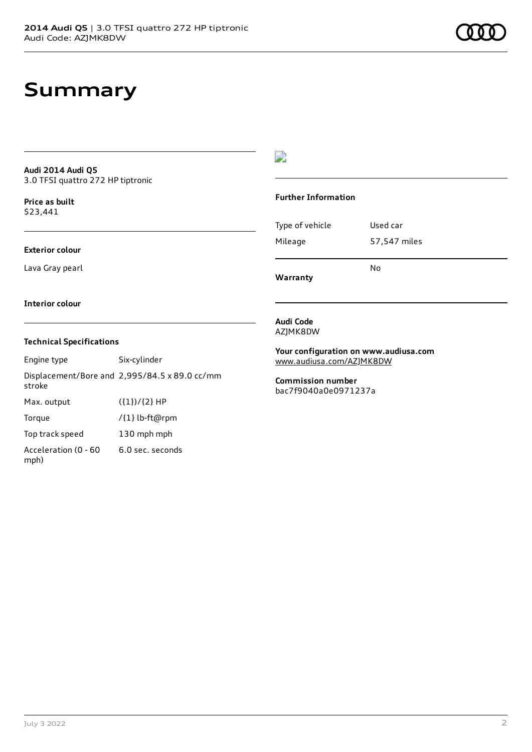## **Summary**

#### **Audi 2014 Audi Q5** 3.0 TFSI quattro 272 HP tiptronic

**Price as buil[t](#page-10-0)** \$23,441

#### **Exterior colour**

Lava Gray pearl

### $\overline{\phantom{a}}$

#### **Further Information**

|                 | N٥           |
|-----------------|--------------|
| Mileage         | 57,547 miles |
| Type of vehicle | Used car     |

**Warranty**

#### **Interior colour**

#### **Technical Specifications**

| Engine type                  | Six-cylinder                                  |
|------------------------------|-----------------------------------------------|
| stroke                       | Displacement/Bore and 2,995/84.5 x 89.0 cc/mm |
| Max. output                  | $({1})/{2}$ HP                                |
| Torque                       | /{1} lb-ft@rpm                                |
| Top track speed              | 130 mph mph                                   |
| Acceleration (0 - 60<br>mph) | 6.0 sec. seconds                              |

#### **Audi Code** AZJMK8DW

**Your configuration on www.audiusa.com** [www.audiusa.com/AZJMK8DW](https://www.audiusa.com/AZJMK8DW)

**Commission number** bac7f9040a0e0971237a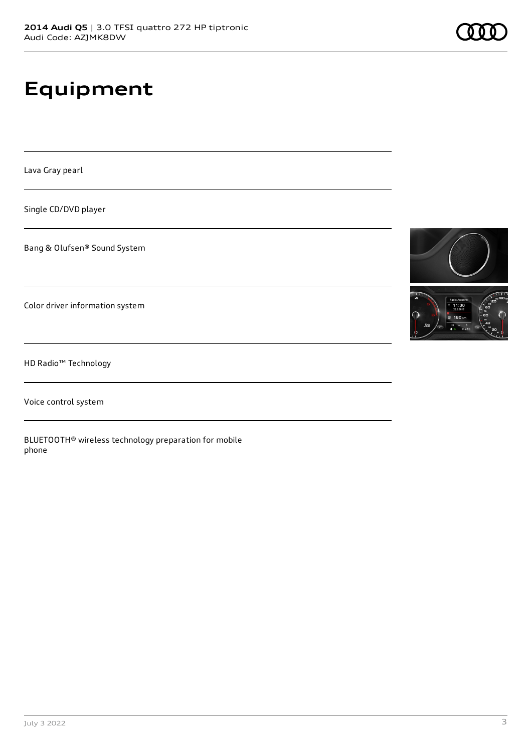# **Equipment**

Lava Gray pearl

Single CD/DVD player

Bang & Olufsen® Sound System

Color driver information system

HD Radio™ Technology

Voice control system

BLUETOOTH® wireless technology preparation for mobile phone



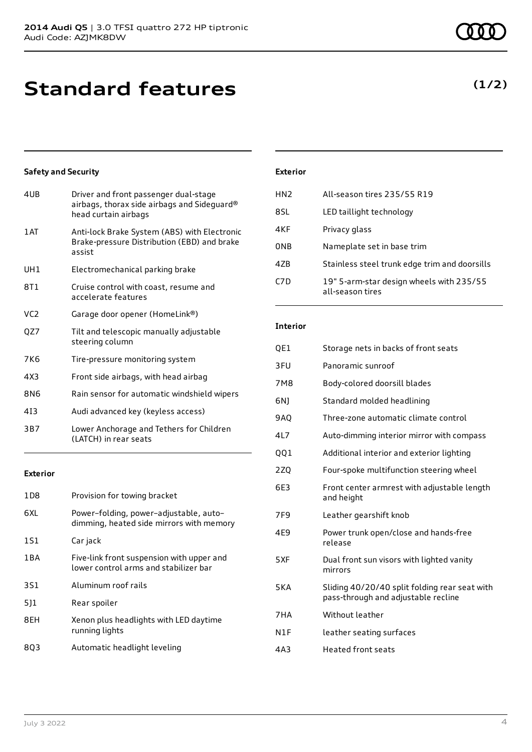## **Standard features**

#### **Safety and Security**

| 4UB             | Driver and front passenger dual-stage<br>airbags, thorax side airbags and Sideguard®<br>head curtain airbags |
|-----------------|--------------------------------------------------------------------------------------------------------------|
| 1 AT            | Anti-lock Brake System (ABS) with Electronic<br>Brake-pressure Distribution (EBD) and brake<br>assist        |
| UH1             | Electromechanical parking brake                                                                              |
| 8T1             | Cruise control with coast, resume and<br>accelerate features                                                 |
| VC <sub>2</sub> | Garage door opener (HomeLink®)                                                                               |
| QZ7             | Tilt and telescopic manually adjustable<br>steering column                                                   |
| 7K6             | Tire-pressure monitoring system                                                                              |
| 4X3             | Front side airbags, with head airbag                                                                         |
| 8N6             | Rain sensor for automatic windshield wipers                                                                  |
| 413             | Audi advanced key (keyless access)                                                                           |
| 3B7             | Lower Anchorage and Tethers for Children<br>(LATCH) in rear seats                                            |
|                 |                                                                                                              |

#### **Exterior**

| 1 D 8 | Provision for towing bracket                                                       |
|-------|------------------------------------------------------------------------------------|
| 6XL   | Power-folding, power-adjustable, auto-<br>dimming, heated side mirrors with memory |
| 1S1   | Car jack                                                                           |
| 1 B A | Five-link front suspension with upper and<br>lower control arms and stabilizer bar |
| 3S1   | Aluminum roof rails                                                                |
| 511   | Rear spoiler                                                                       |
| 8EH   | Xenon plus headlights with LED daytime<br>running lights                           |
| 803   | Automatic headlight leveling                                                       |

#### **Exterior**

| HN <sub>2</sub>  | All-season tires 235/55 R19                                  |
|------------------|--------------------------------------------------------------|
| 8SL              | LED taillight technology                                     |
| 4KF              | Privacy glass                                                |
| <b>ONB</b>       | Nameplate set in base trim                                   |
| 47 <sub>B</sub>  | Stainless steel trunk edge trim and doorsills                |
| C <sub>7</sub> D | 19" 5-arm-star design wheels with 235/55<br>all-season tires |

#### **Interior**

| QE1             | Storage nets in backs of front seats                                                 |
|-----------------|--------------------------------------------------------------------------------------|
| 3FU             | Panoramic sunroof                                                                    |
| 7M8             | Body-colored doorsill blades                                                         |
| 6N1             | Standard molded headlining                                                           |
| <b>9AO</b>      | Three-zone automatic climate control                                                 |
| 4L7             | Auto-dimming interior mirror with compass                                            |
| 001             | Additional interior and exterior lighting                                            |
| 2ZQ             | Four-spoke multifunction steering wheel                                              |
| 6E3             | Front center armrest with adjustable length<br>and height                            |
| 7F <sub>9</sub> | Leather gearshift knob                                                               |
| 4E9             | Power trunk open/close and hands-free<br>release                                     |
| 5XF             | Dual front sun visors with lighted vanity<br>mirrors                                 |
| 5KA             | Sliding 40/20/40 split folding rear seat with<br>pass-through and adjustable recline |
| 7HA             | Without leather                                                                      |
| N1F             | leather seating surfaces                                                             |
| 4A3             | <b>Heated front seats</b>                                                            |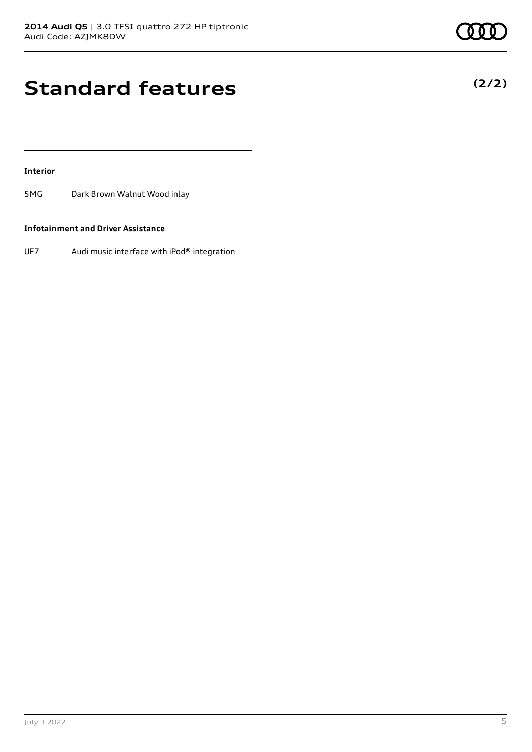## **Standard features**

#### **Interior**

5MG Dark Brown Walnut Wood inlay

#### **Infotainment and Driver Assistance**

UF7 Audi music interface with iPod® integration

**(2/2)**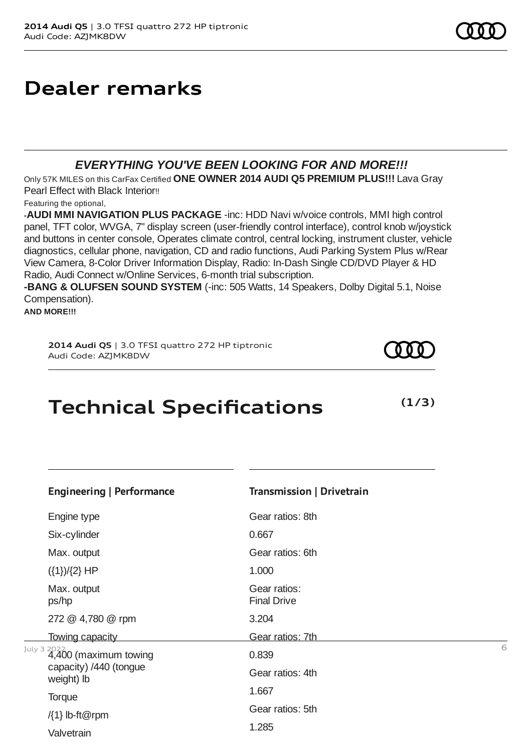### **Dealer remarks**

### *EVERYTHING YOU'VE BEEN LOOKING FOR AND MORE!!!*

Only 57K MILES on this CarFax Certified **ONE OWNER 2014 AUDI Q5 PREMIUM PLUS!!!** Lava Gray Pearl Effect with Black Interior!!

Featuring the optional,

**-AUDI MMI NAVIGATION PLUS PACKAGE** -inc: HDD Navi w/voice controls, MMI high control panel, TFT color, WVGA, 7" display screen (user-friendly control interface), control knob w/joystick and buttons in center console, Operates climate control, central locking, instrument cluster, vehicle diagnostics, cellular phone, navigation, CD and radio functions, Audi Parking System Plus w/Rear View Camera, 8-Color Driver Information Display, Radio: In-Dash Single CD/DVD Player & HD Radio, Audi Connect w/Online Services, 6-month trial subscription.

**-BANG & OLUFSEN SOUND SYSTEM** (-inc: 505 Watts, 14 Speakers, Dolby Digital 5.1, Noise Compensation).

**AND MORE!!!**

**2014 Audi Q5** | 3.0 TFSI quattro 272 HP tiptronic Audi Code: AZJMK8DW

### **Technical Specifications**

 $J^{\text{uly 3 2022}}$  4,400 (maximum towing  $160$   $0.839$ **Engineering | Performance** Engine type Six-cylinder Max. output ({1})/{2} HP Max. output ps/hp 272 @ 4,780 @ rpm Towing capacity capacity) /440 (tongue weight) lb **Torque**  $\{1\}$  lb-ft@rpm Valvetrain **Transmission | Drivetrain** Gear ratios: 8th 0.667 Gear ratios: 6th 1.000 Gear ratios: Final Drive 3.204 Gear ratios: 7th 0.839 Gear ratios: 4th 1.667 Gear ratios: 5th 1.285

**(1/3)**

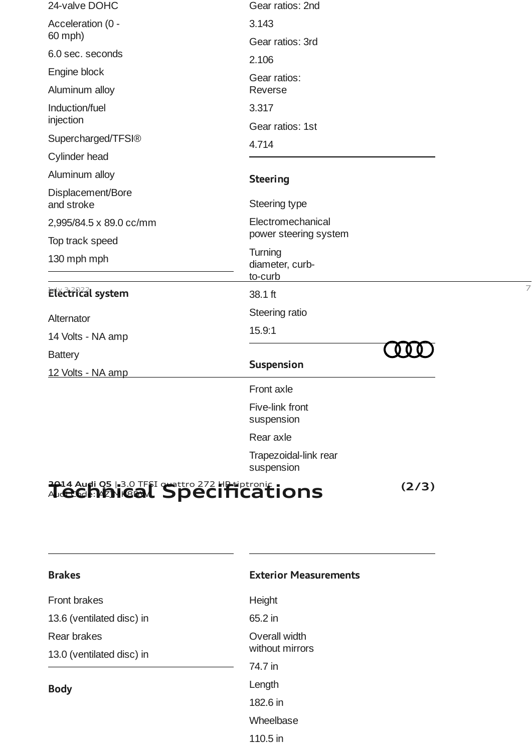| 24-valve DOHC                                     | Gear ratios: 2nd                      |   |
|---------------------------------------------------|---------------------------------------|---|
| Acceleration (0 -                                 | 3.143                                 |   |
| 60 mph)                                           | Gear ratios: 3rd                      |   |
| 6.0 sec. seconds                                  | 2.106                                 |   |
| Engine block                                      | Gear ratios:                          |   |
| Aluminum alloy                                    | Reverse                               |   |
| Induction/fuel                                    | 3.317                                 |   |
| injection                                         | Gear ratios: 1st                      |   |
| Supercharged/TFSI®                                | 4.714                                 |   |
| Cylinder head                                     |                                       |   |
| Aluminum alloy                                    | <b>Steering</b>                       |   |
| Displacement/Bore<br>and stroke                   | Steering type                         |   |
| 2,995/84.5 x 89.0 cc/mm                           | Electromechanical                     |   |
| Top track speed                                   | power steering system                 |   |
| 130 mph mph                                       | Turning<br>diameter, curb-<br>to-curb |   |
| Electrical system                                 | 38.1 ft                               | 7 |
| Alternator                                        | Steering ratio                        |   |
| 14 Volts - NA amp                                 | 15.9:1                                |   |
| <b>Battery</b>                                    |                                       |   |
| 12 Volts - NA amp                                 | <b>Suspension</b>                     |   |
|                                                   | Front axle                            |   |
|                                                   | Five-link front<br>suspension         |   |
|                                                   | Rear axle                             |   |
|                                                   | Trapezoidal-link rear<br>suspension   |   |
| 2014 Audi Q5 13.0 TFSI quattro 272 HD tiptronic : | (2/3)                                 |   |

#### **2014 Audi Q5** | 3.0 TFSI quattro 272 HP tiptronic Audi Code: AZJMK8DW **Technical Specifications**

| <b>Brakes</b>             | <b>Exterior Measurements</b> |
|---------------------------|------------------------------|
| <b>Front brakes</b>       | Height                       |
| 13.6 (ventilated disc) in | 65.2 in                      |
| Rear brakes               | Overall width                |
| 13.0 (ventilated disc) in | without mirrors              |
|                           | 74.7 in                      |
| <b>Body</b>               | Length                       |
|                           | 182.6 in                     |
|                           | Wheelbase                    |

110.5 in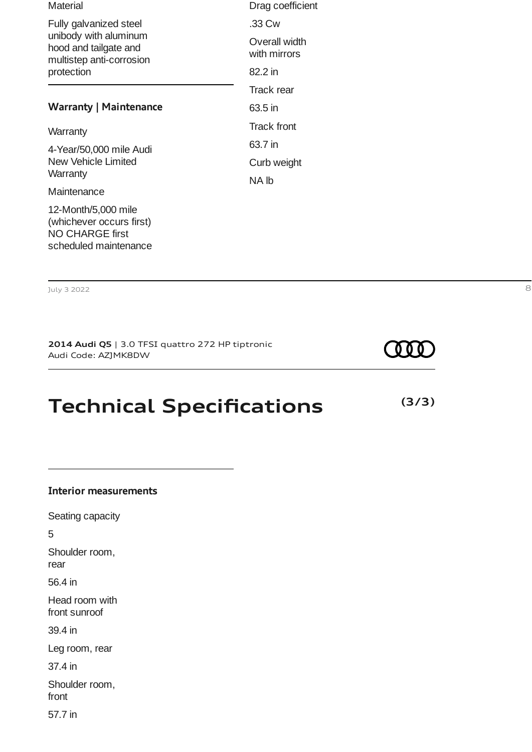| <b>Material</b>                                                                                    | Drag coefficient              |
|----------------------------------------------------------------------------------------------------|-------------------------------|
| Fully galvanized steel                                                                             | .33 Cw                        |
| unibody with aluminum<br>hood and tailgate and<br>multistep anti-corrosion                         | Overall width<br>with mirrors |
| protection                                                                                         | 82.2 in                       |
|                                                                                                    | Track rear                    |
| <b>Warranty   Maintenance</b>                                                                      | 63.5 in                       |
| Warranty                                                                                           | <b>Track front</b>            |
| 4-Year/50,000 mile Audi                                                                            | 63.7 in                       |
| New Vehicle Limited                                                                                | Curb weight                   |
| Warranty                                                                                           | NA lb                         |
| Maintenance                                                                                        |                               |
| 12-Month/5,000 mile<br>(whichever occurs first)<br><b>NO CHARGE first</b><br>scheduled maintenance |                               |
|                                                                                                    |                               |

July 3 2022 8

**2014 Audi Q5** | 3.0 TFSI quattro 272 HP tiptronic Audi Code: AZJMK8DW

**COOT** 

**(3/3)**

## **Technical Specifications**

| <b>Interior measurements</b>    |
|---------------------------------|
| Seating capacity                |
| 5                               |
| Shoulder room,<br>rear          |
| 56.4 in                         |
| Head room with<br>front sunroof |
| 39.4 in                         |
| Leg room, rear                  |
| 37.4 in                         |
| Shoulder room,<br>front         |

57.7 in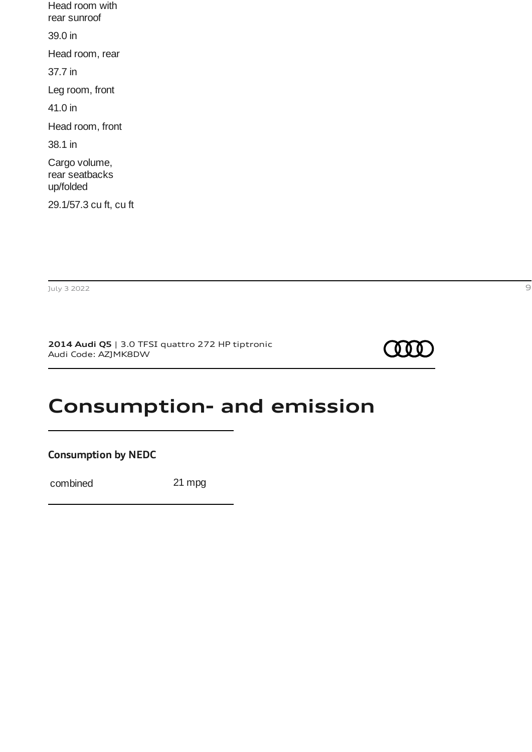Head room with rear sunroof 39.0 in Head room, rear 37.7 in Leg room, front 41.0 in Head room, front 38.1 in Cargo volume, rear seatbacks up/folded 29.1/57.3 cu ft, cu ft

July 3 2022 9

**2014 Audi Q5** | 3.0 TFSI quattro 272 HP tiptronic Audi Code: AZJMK8DW



### **Consumption- and emission**

**Consumption by NEDC**

combined 21 mpg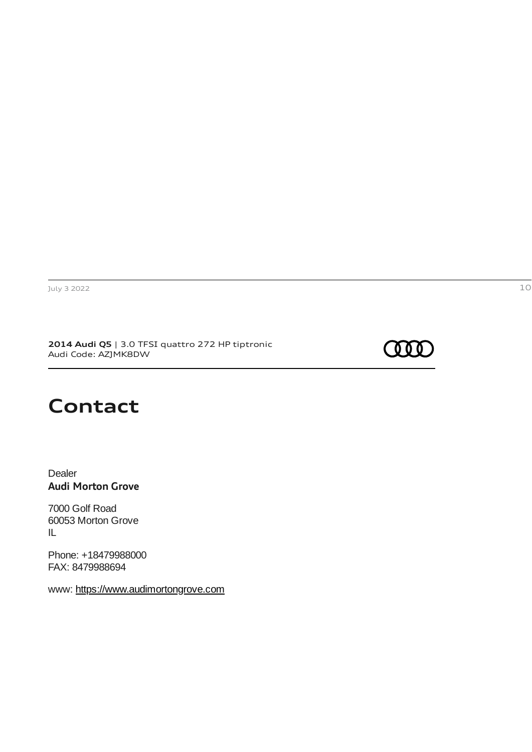**2014 Audi Q5** | 3.0 TFSI quattro 272 HP tiptronic Audi Code: AZJMK8DW



### **Contact**

Dealer **Audi Morton Grove**

7000 Golf Road 60053 Morton Grove IL

Phone: +18479988000 FAX: 8479988694

www: [https://www.audimortongrove.com](https://www.audimortongrove.com/)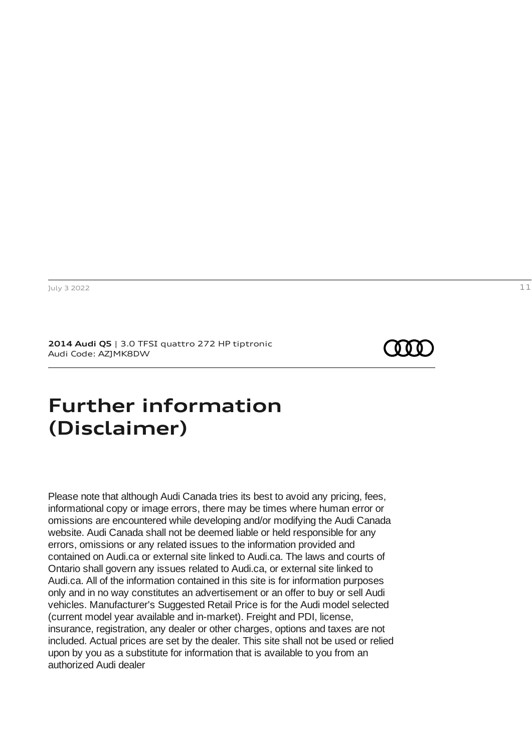**2014 Audi Q5** | 3.0 TFSI quattro 272 HP tiptronic Audi Code: AZJMK8DW

### <span id="page-10-0"></span>**Further information (Disclaimer)**

Please note that although Audi Canada tries its best to avoid any pricing, fees, informational copy or image errors, there may be times where human error or omissions are encountered while developing and/or modifying the Audi Canada website. Audi Canada shall not be deemed liable or held responsible for any errors, omissions or any related issues to the information provided and contained on Audi.ca or external site linked to Audi.ca. The laws and courts of Ontario shall govern any issues related to Audi.ca, or external site linked to Audi.ca. All of the information contained in this site is for information purposes only and in no way constitutes an advertisement or an offer to buy or sell Audi vehicles. Manufacturer's Suggested Retail Price is for the Audi model selected (current model year available and in-market). Freight and PDI, license, insurance, registration, any dealer or other charges, options and taxes are not included. Actual prices are set by the dealer. This site shall not be used or relied upon by you as a substitute for information that is available to you from an authorized Audi dealer